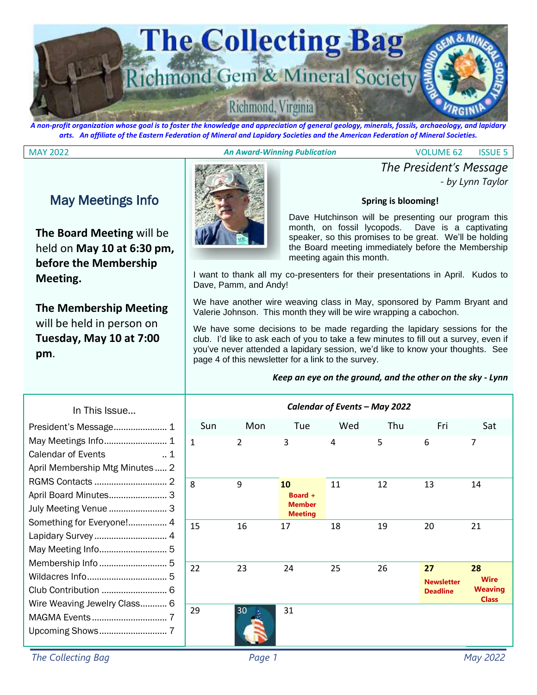

*A non-profit organization whose goal is to foster the knowledge and appreciation of general geology, minerals, fossils, archaeology, and lapidary arts. An affiliate of the Eastern Federation of Mineral and Lapidary Societies and the American Federation of Mineral Societies.*

#### MAY 2022 *An Award-Winning Publication* VOLUME 62 ISSUE 5

*- by Lynn Taylor*

*The President's Message*

### May Meetings Info

**The Board Meeting** will be held on **May 10 at 6:30 pm, before the Membership Meeting.**

**The Membership Meeting**  will be held in person on **Tuesday, May 10 at 7:00 pm**.



Dave Hutchinson will be presenting our program this month, on fossil lycopods. Dave is a captivating speaker, so this promises to be great. We'll be holding the Board meeting immediately before the Membership meeting again this month.

**Spring is blooming!**

I want to thank all my co-presenters for their presentations in April. Kudos to Dave, Pamm, and Andy!

We have another wire weaving class in May, sponsored by Pamm Bryant and Valerie Johnson. This month they will be wire wrapping a cabochon.

We have some decisions to be made regarding the lapidary sessions for the club. I'd like to ask each of you to take a few minutes to fill out a survey, even if you've never attended a lapidary session, we'd like to know your thoughts. See page 4 of this newsletter for a link to the survey.

#### *Keep an eye on the ground, and the other on the sky - Lynn*

| le                       | Calendar of Events - May 2022 |                |                                                  |     |     |                                            |                                                     |  |
|--------------------------|-------------------------------|----------------|--------------------------------------------------|-----|-----|--------------------------------------------|-----------------------------------------------------|--|
| 1                        | Sun                           | Mon            | Tue                                              | Wed | Thu | Fri                                        | Sat                                                 |  |
| 1<br>$\cdot$ . 1         | $\mathbf{1}$                  | $\overline{2}$ | 3                                                | 4   | 5   | $\boldsymbol{6}$                           | $\overline{7}$                                      |  |
| Minutes  2               |                               |                |                                                  |     |     |                                            |                                                     |  |
| 2<br>3<br>.<br>3         | 8                             | 9              | 10<br>Board +<br><b>Member</b><br><b>Meeting</b> | 11  | 12  | 13                                         | 14                                                  |  |
| e!.<br>. 4<br>4<br>5     | 15                            | 16             | 17                                               | 18  | 19  | 20                                         | 21                                                  |  |
| 5<br>5<br>6              | 22                            | 23             | 24                                               | 25  | 26  | 27<br><b>Newsletter</b><br><b>Deadline</b> | 28<br><b>Wire</b><br><b>Weaving</b><br><b>Class</b> |  |
| Class 6<br>. 7<br>7<br>. | 29                            | 30             | 31                                               |     |     |                                            |                                                     |  |

#### In This Issu President's Message.... May Meetings Info......... Calendar of Events April Membership Mtg RGMS Contacts ............ April Board Minutes...... July Meeting Venue ...... Something for Everyone Lapidary Survey ............. May Meeting Info.......... Membership Info .......... Wildacres Info............... Club Contribution ........ Wire Weaving Jewelry C MAGMA Events ............................... 7 Upcoming Shows...........

*The Collecting Bag Page 1 May 2022*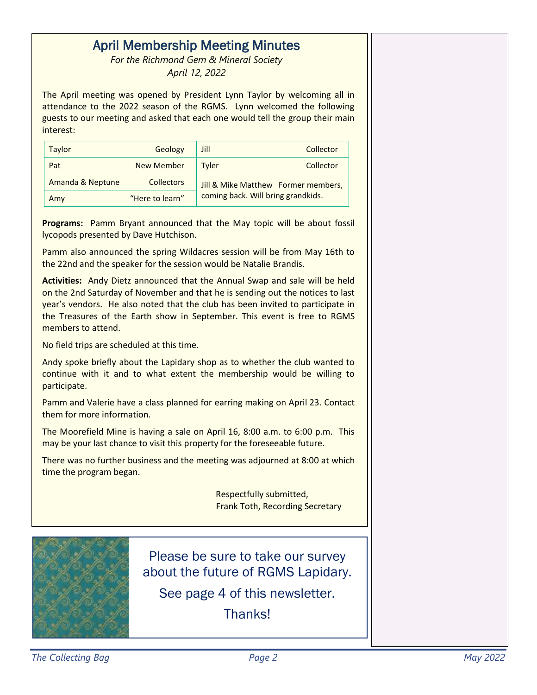### April Membership Meeting Minutes

*For the Richmond Gem & Mineral Society April 12, 2022*

The April meeting was opened by President Lynn Taylor by welcoming all in attendance to the 2022 season of the RGMS. Lynn welcomed the following guests to our meeting and asked that each one would tell the group their main interest:

| Taylor           | Geology           | Jill<br>Collector                   |  |  |
|------------------|-------------------|-------------------------------------|--|--|
| Pat              | <b>New Member</b> | Tyler<br>Collector                  |  |  |
| Amanda & Neptune | <b>Collectors</b> | Jill & Mike Matthew Former members, |  |  |
| Amy              | "Here to learn"   | coming back. Will bring grandkids.  |  |  |

**Programs:** Pamm Bryant announced that the May topic will be about fossil lycopods presented by Dave Hutchison.

Pamm also announced the spring Wildacres session will be from May 16th to the 22nd and the speaker for the session would be Natalie Brandis.

**Activities:** Andy Dietz announced that the Annual Swap and sale will be held on the 2nd Saturday of November and that he is sending out the notices to last year's vendors. He also noted that the club has been invited to participate in the Treasures of the Earth show in September. This event is free to RGMS members to attend.

No field trips are scheduled at this time.

Andy spoke briefly about the Lapidary shop as to whether the club wanted to continue with it and to what extent the membership would be willing to participate.

Pamm and Valerie have a class planned for earring making on April 23. Contact them for more information.

The Moorefield Mine is having a sale on April 16, 8:00 a.m. to 6:00 p.m. This may be your last chance to visit this property for the foreseeable future.

There was no further business and the meeting was adjourned at 8:00 at which time the program began.

> Respectfully submitted, Frank Toth, Recording Secretary



Please be sure to take our survey about the future of RGMS Lapidary.

See page 4 of this newsletter.

**Thanks!**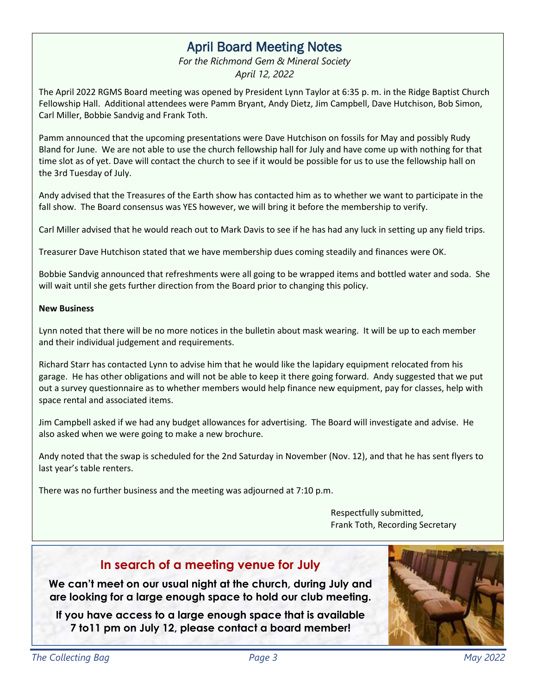### April Board Meeting Notes

*For the Richmond Gem & Mineral Society April 12, 2022*

The April 2022 RGMS Board meeting was opened by President Lynn Taylor at 6:35 p. m. in the Ridge Baptist Church Fellowship Hall. Additional attendees were Pamm Bryant, Andy Dietz, Jim Campbell, Dave Hutchison, Bob Simon, Carl Miller, Bobbie Sandvig and Frank Toth.

Pamm announced that the upcoming presentations were Dave Hutchison on fossils for May and possibly Rudy Bland for June. We are not able to use the church fellowship hall for July and have come up with nothing for that time slot as of yet. Dave will contact the church to see if it would be possible for us to use the fellowship hall on the 3rd Tuesday of July.

Andy advised that the Treasures of the Earth show has contacted him as to whether we want to participate in the fall show. The Board consensus was YES however, we will bring it before the membership to verify.

Carl Miller advised that he would reach out to Mark Davis to see if he has had any luck in setting up any field trips.

Treasurer Dave Hutchison stated that we have membership dues coming steadily and finances were OK.

Bobbie Sandvig announced that refreshments were all going to be wrapped items and bottled water and soda. She will wait until she gets further direction from the Board prior to changing this policy.

#### **New Business**

Lynn noted that there will be no more notices in the bulletin about mask wearing. It will be up to each member and their individual judgement and requirements.

Richard Starr has contacted Lynn to advise him that he would like the lapidary equipment relocated from his garage. He has other obligations and will not be able to keep it there going forward. Andy suggested that we put out a survey questionnaire as to whether members would help finance new equipment, pay for classes, help with space rental and associated items.

Jim Campbell asked if we had any budget allowances for advertising. The Board will investigate and advise. He also asked when we were going to make a new brochure.

Andy noted that the swap is scheduled for the 2nd Saturday in November (Nov. 12), and that he has sent flyers to last year's table renters.

There was no further business and the meeting was adjourned at 7:10 p.m.

Respectfully submitted, Frank Toth, Recording Secretary

#### **In search of a meeting venue for July**

**We can't meet on our usual night at the church, during July and are looking for a large enough space to hold our club meeting.**

**If you have access to a large enough space that is available 7 to11 pm on July 12, please contact a board member!**

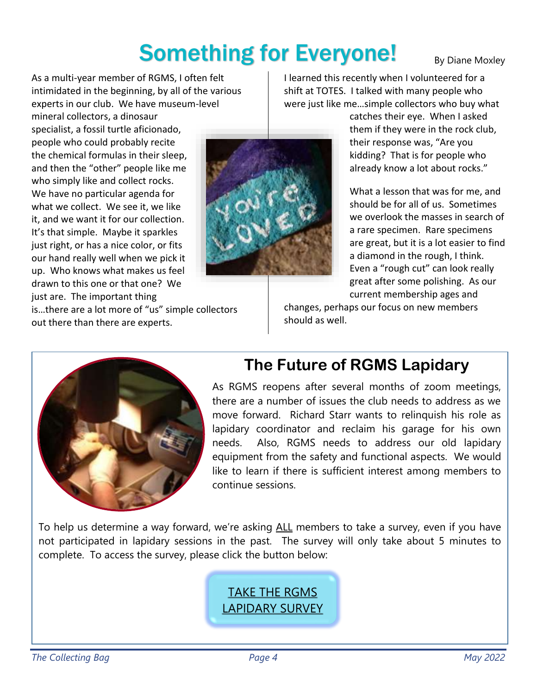## Something for Everyone!

By Diane Moxley

As a multi-year member of RGMS, I often felt intimidated in the beginning, by all of the various experts in our club. We have museum-level

mineral collectors, a dinosaur specialist, a fossil turtle aficionado, people who could probably recite the chemical formulas in their sleep, and then the "other" people like me who simply like and collect rocks. We have no particular agenda for what we collect. We see it, we like it, and we want it for our collection. It's that simple. Maybe it sparkles just right, or has a nice color, or fits our hand really well when we pick it up. Who knows what makes us feel drawn to this one or that one? We just are. The important thing



I learned this recently when I volunteered for a shift at TOTES. I talked with many people who were just like me…simple collectors who buy what

catches their eye. When I asked them if they were in the rock club, their response was, "Are you kidding? That is for people who already know a lot about rocks."

What a lesson that was for me, and should be for all of us. Sometimes we overlook the masses in search of a rare specimen. Rare specimens are great, but it is a lot easier to find a diamond in the rough, I think. Even a "rough cut" can look really great after some polishing. As our current membership ages and

is…there are a lot more of "us" simple collectors out there than there are experts.

changes, perhaps our focus on new members should as well.



### **The Future of RGMS Lapidary**

As RGMS reopens after several months of zoom meetings, there are a number of issues the club needs to address as we move forward. Richard Starr wants to relinquish his role as lapidary coordinator and reclaim his garage for his own needs. Also, RGMS needs to address our old lapidary equipment from the safety and functional aspects. We would like to learn if there is sufficient interest among members to continue sessions.

To help us determine a way forward, we're asking ALL members to take a survey, even if you have not participated in lapidary sessions in the past. The survey will only take about 5 minutes to complete. To access the survey, please click the button below:

### TAKE [THE RGMS](https://www.surveymonkey.com/r/TBYDRMS)  [LAPIDARY SURVEY](https://www.surveymonkey.com/r/TBYDRMS)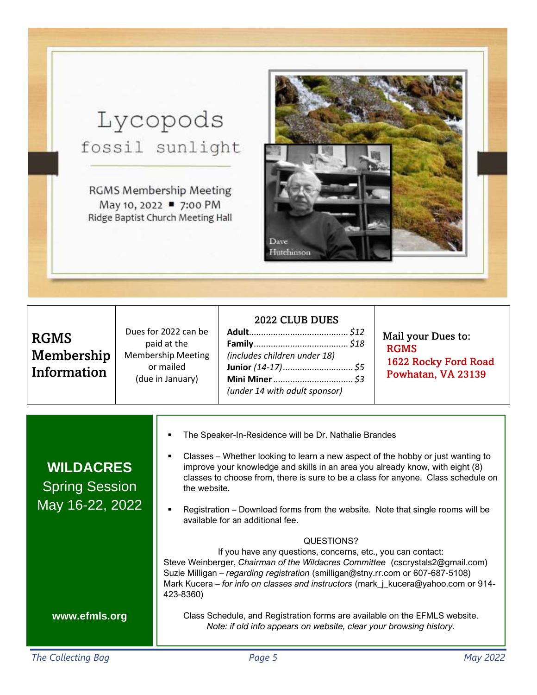## Lycopods fossil sunlight

**RGMS Membership Meeting** May 10, 2022 ■ 7:00 PM Ridge Baptist Church Meeting Hall



### RGMS Membership Information

Dues for 2022 can be paid at the Membership Meeting or mailed (due in January)

| 2022 CLUB DUES                |  |
|-------------------------------|--|
|                               |  |
|                               |  |
| (includes children under 18)  |  |
|                               |  |
|                               |  |
| (under 14 with adult sponsor) |  |

Mail your Dues to: RGMS 1622 Rocky Ford Road Powhatan, VA 23139

| <b>WILDACRES</b><br><b>Spring Session</b><br>May 16-22, 2022 | The Speaker-In-Residence will be Dr. Nathalie Brandes<br>Classes – Whether looking to learn a new aspect of the hobby or just wanting to<br>improve your knowledge and skills in an area you already know, with eight (8)<br>classes to choose from, there is sure to be a class for anyone. Class schedule on<br>the website.<br>Registration – Download forms from the website. Note that single rooms will be<br>available for an additional fee.                                                 |
|--------------------------------------------------------------|------------------------------------------------------------------------------------------------------------------------------------------------------------------------------------------------------------------------------------------------------------------------------------------------------------------------------------------------------------------------------------------------------------------------------------------------------------------------------------------------------|
| www.efmls.org                                                | QUESTIONS?<br>If you have any questions, concerns, etc., you can contact:<br>Steve Weinberger, Chairman of the Wildacres Committee (cscrystals2@gmail.com)<br>Suzie Milligan – regarding registration (smilligan@stny.rr.com or 607-687-5108)<br>Mark Kucera – for info on classes and instructors (mark_j_kucera@yahoo.com or 914-<br>423-8360)<br>Class Schedule, and Registration forms are available on the EFMLS website.<br>Note: if old info appears on website, clear your browsing history. |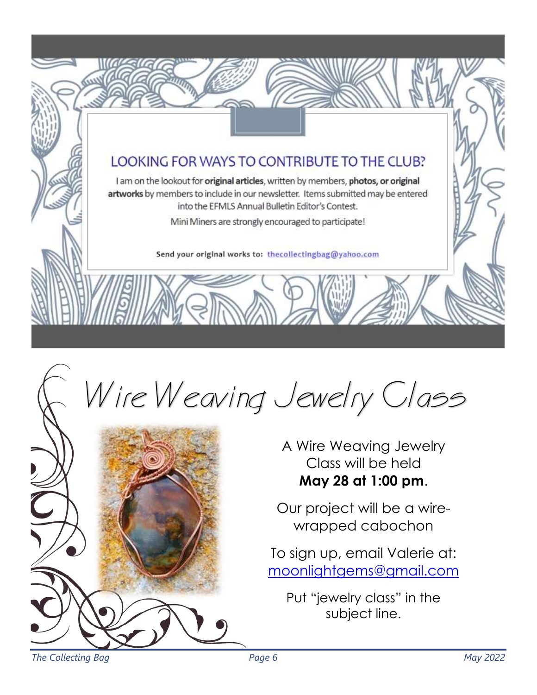### LOOKING FOR WAYS TO CONTRIBUTE TO THE CLUB?

I am on the lookout for original articles, written by members, photos, or original artworks by members to include in our newsletter. Items submitted may be entered into the EFMLS Annual Bulletin Editor's Contest.

Mini Miners are strongly encouraged to participate!

Send your original works to: thecollectingbag@yahoo.com

# Wire Weaving Jewelry Class



A Wire Weaving Jewelry Class will be held **May 28 at 1:00 pm**.

Our project will be a wirewrapped cabochon

To sign up, email Valerie at: [moonlightgems@gmail.com](mailto:moonlightgems@gmail.com)

Put "jewelry class" in the subject line.

*The Collecting Bag Page 6 May 2022*